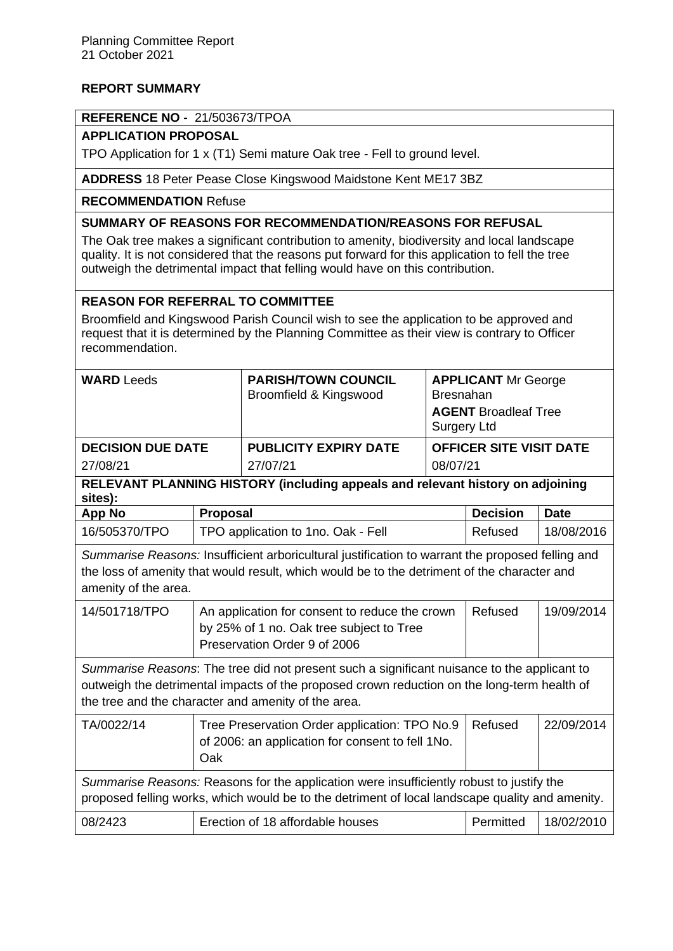## **REPORT SUMMARY**

#### **REFERENCE NO -** 21/503673/TPOA

### **APPLICATION PROPOSAL**

TPO Application for 1 x (T1) Semi mature Oak tree - Fell to ground level.

**ADDRESS** 18 Peter Pease Close Kingswood Maidstone Kent ME17 3BZ

### **RECOMMENDATION** Refuse

# **SUMMARY OF REASONS FOR RECOMMENDATION/REASONS FOR REFUSAL**

The Oak tree makes a significant contribution to amenity, biodiversity and local landscape quality. It is not considered that the reasons put forward for this application to fell the tree outweigh the detrimental impact that felling would have on this contribution.

## **REASON FOR REFERRAL TO COMMITTEE**

Broomfield and Kingswood Parish Council wish to see the application to be approved and request that it is determined by the Planning Committee as their view is contrary to Officer recommendation.

| <b>WARD Leeds</b>                                                                                                                                                                                                                                 |                                                                                                                            | <b>PARISH/TOWN COUNCIL</b><br>Broomfield & Kingswood                                              | <b>APPLICANT Mr George</b><br><b>Bresnahan</b><br><b>AGENT Broadleaf Tree</b><br><b>Surgery Ltd</b> |                 |             |
|---------------------------------------------------------------------------------------------------------------------------------------------------------------------------------------------------------------------------------------------------|----------------------------------------------------------------------------------------------------------------------------|---------------------------------------------------------------------------------------------------|-----------------------------------------------------------------------------------------------------|-----------------|-------------|
| <b>DECISION DUE DATE</b>                                                                                                                                                                                                                          |                                                                                                                            | <b>PUBLICITY EXPIRY DATE</b>                                                                      | <b>OFFICER SITE VISIT DATE</b>                                                                      |                 |             |
| 27/08/21                                                                                                                                                                                                                                          |                                                                                                                            | 27/07/21                                                                                          | 08/07/21                                                                                            |                 |             |
| RELEVANT PLANNING HISTORY (including appeals and relevant history on adjoining<br>sites):                                                                                                                                                         |                                                                                                                            |                                                                                                   |                                                                                                     |                 |             |
| <b>App No</b>                                                                                                                                                                                                                                     | <b>Proposal</b>                                                                                                            |                                                                                                   |                                                                                                     | <b>Decision</b> | <b>Date</b> |
| 16/505370/TPO                                                                                                                                                                                                                                     | TPO application to 1no. Oak - Fell                                                                                         |                                                                                                   |                                                                                                     | Refused         | 18/08/2016  |
| Summarise Reasons: Insufficient arboricultural justification to warrant the proposed felling and<br>the loss of amenity that would result, which would be to the detriment of the character and<br>amenity of the area.                           |                                                                                                                            |                                                                                                   |                                                                                                     |                 |             |
| 14/501718/TPO                                                                                                                                                                                                                                     | An application for consent to reduce the crown<br>by 25% of 1 no. Oak tree subject to Tree<br>Preservation Order 9 of 2006 |                                                                                                   |                                                                                                     | Refused         | 19/09/2014  |
| Summarise Reasons: The tree did not present such a significant nuisance to the applicant to<br>outweigh the detrimental impacts of the proposed crown reduction on the long-term health of<br>the tree and the character and amenity of the area. |                                                                                                                            |                                                                                                   |                                                                                                     |                 |             |
| TA/0022/14                                                                                                                                                                                                                                        | Oak                                                                                                                        | Tree Preservation Order application: TPO No.9<br>of 2006: an application for consent to fell 1No. |                                                                                                     | Refused         | 22/09/2014  |
| Summarise Reasons: Reasons for the application were insufficiently robust to justify the<br>proposed felling works, which would be to the detriment of local landscape quality and amenity.                                                       |                                                                                                                            |                                                                                                   |                                                                                                     |                 |             |
| 08/2423                                                                                                                                                                                                                                           |                                                                                                                            | Erection of 18 affordable houses                                                                  |                                                                                                     | Permitted       | 18/02/2010  |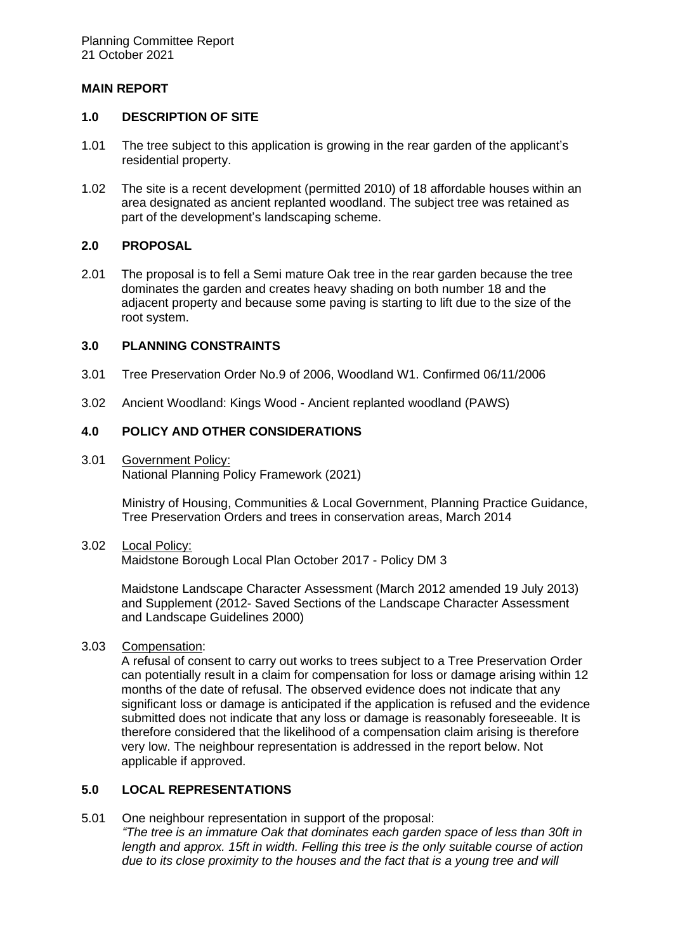### **MAIN REPORT**

### **1.0 DESCRIPTION OF SITE**

- 1.01 The tree subject to this application is growing in the rear garden of the applicant's residential property.
- 1.02 The site is a recent development (permitted 2010) of 18 affordable houses within an area designated as ancient replanted woodland. The subject tree was retained as part of the development's landscaping scheme.

## **2.0 PROPOSAL**

2.01 The proposal is to fell a Semi mature Oak tree in the rear garden because the tree dominates the garden and creates heavy shading on both number 18 and the adjacent property and because some paving is starting to lift due to the size of the root system.

## **3.0 PLANNING CONSTRAINTS**

- 3.01 Tree Preservation Order No.9 of 2006, Woodland W1. Confirmed 06/11/2006
- 3.02 Ancient Woodland: Kings Wood Ancient replanted woodland (PAWS)

## **4.0 POLICY AND OTHER CONSIDERATIONS**

3.01 Government Policy: National Planning Policy Framework (2021)

> Ministry of Housing, Communities & Local Government, Planning Practice Guidance, Tree Preservation Orders and trees in conservation areas, March 2014

#### 3.02 Local Policy:

Maidstone Borough Local Plan October 2017 - Policy DM 3

Maidstone Landscape Character Assessment (March 2012 amended 19 July 2013) and Supplement (2012- Saved Sections of the Landscape Character Assessment and Landscape Guidelines 2000)

### 3.03 Compensation:

A refusal of consent to carry out works to trees subject to a Tree Preservation Order can potentially result in a claim for compensation for loss or damage arising within 12 months of the date of refusal. The observed evidence does not indicate that any significant loss or damage is anticipated if the application is refused and the evidence submitted does not indicate that any loss or damage is reasonably foreseeable. It is therefore considered that the likelihood of a compensation claim arising is therefore very low. The neighbour representation is addressed in the report below. Not applicable if approved.

# **5.0 LOCAL REPRESENTATIONS**

5.01 One neighbour representation in support of the proposal: *"The tree is an immature Oak that dominates each garden space of less than 30ft in length and approx. 15ft in width. Felling this tree is the only suitable course of action due to its close proximity to the houses and the fact that is a young tree and will*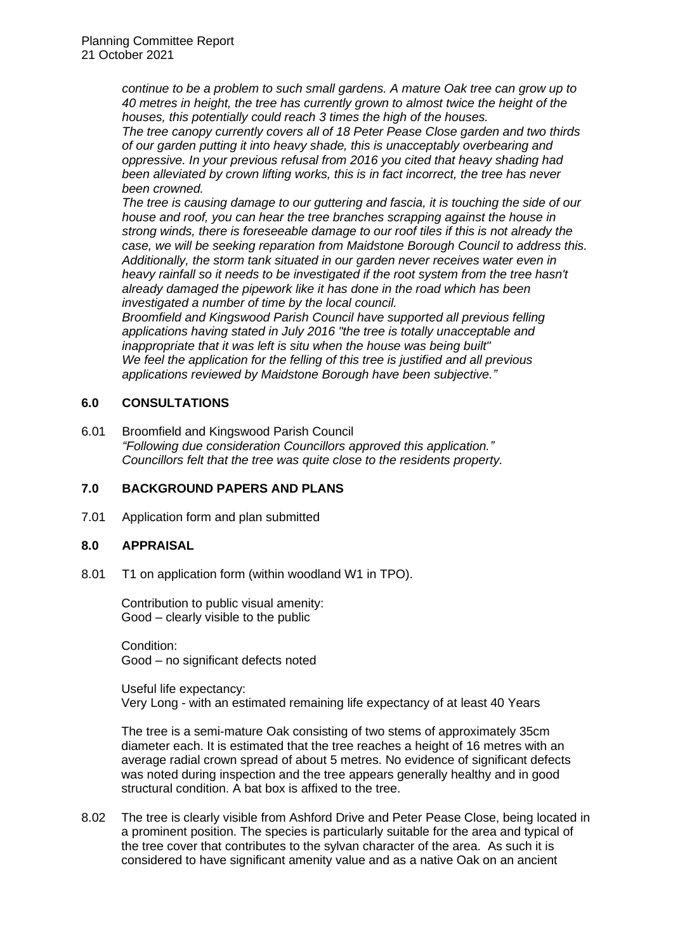*continue to be a problem to such small gardens. A mature Oak tree can grow up to 40 metres in height, the tree has currently grown to almost twice the height of the houses, this potentially could reach 3 times the high of the houses.*

*The tree canopy currently covers all of 18 Peter Pease Close garden and two thirds of our garden putting it into heavy shade, this is unacceptably overbearing and oppressive. In your previous refusal from 2016 you cited that heavy shading had been alleviated by crown lifting works, this is in fact incorrect, the tree has never been crowned.*

*The tree is causing damage to our guttering and fascia, it is touching the side of our house and roof, you can hear the tree branches scrapping against the house in strong winds, there is foreseeable damage to our roof tiles if this is not already the case, we will be seeking reparation from Maidstone Borough Council to address this. Additionally, the storm tank situated in our garden never receives water even in heavy rainfall so it needs to be investigated if the root system from the tree hasn't already damaged the pipework like it has done in the road which has been investigated a number of time by the local council.*

*Broomfield and Kingswood Parish Council have supported all previous felling applications having stated in July 2016 "the tree is totally unacceptable and inappropriate that it was left is situ when the house was being built" We feel the application for the felling of this tree is justified and all previous applications reviewed by Maidstone Borough have been subjective."*

# **6.0 CONSULTATIONS**

6.01 Broomfield and Kingswood Parish Council *"Following due consideration Councillors approved this application." Councillors felt that the tree was quite close to the residents property.*

### **7.0 BACKGROUND PAPERS AND PLANS**

7.01 Application form and plan submitted

### **8.0 APPRAISAL**

8.01 T1 on application form (within woodland W1 in TPO).

Contribution to public visual amenity: Good – clearly visible to the public

Condition: Good – no significant defects noted

Useful life expectancy: Very Long - with an estimated remaining life expectancy of at least 40 Years

The tree is a semi-mature Oak consisting of two stems of approximately 35cm diameter each. It is estimated that the tree reaches a height of 16 metres with an average radial crown spread of about 5 metres. No evidence of significant defects was noted during inspection and the tree appears generally healthy and in good structural condition. A bat box is affixed to the tree.

8.02 The tree is clearly visible from Ashford Drive and Peter Pease Close, being located in a prominent position. The species is particularly suitable for the area and typical of the tree cover that contributes to the sylvan character of the area. As such it is considered to have significant amenity value and as a native Oak on an ancient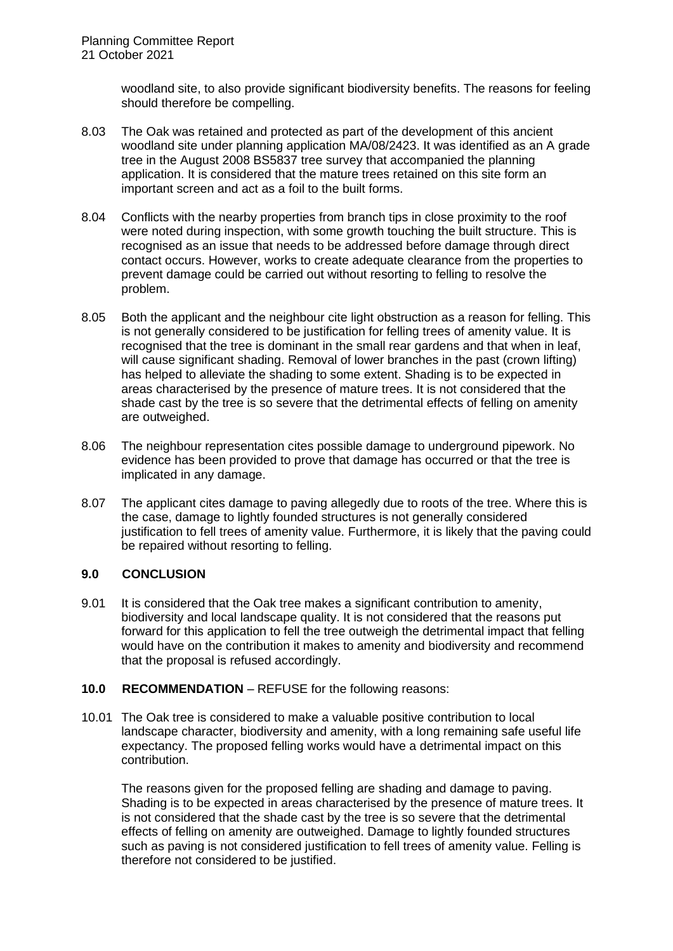woodland site, to also provide significant biodiversity benefits. The reasons for feeling should therefore be compelling.

- 8.03 The Oak was retained and protected as part of the development of this ancient woodland site under planning application MA/08/2423. It was identified as an A grade tree in the August 2008 BS5837 tree survey that accompanied the planning application. It is considered that the mature trees retained on this site form an important screen and act as a foil to the built forms.
- 8.04 Conflicts with the nearby properties from branch tips in close proximity to the roof were noted during inspection, with some growth touching the built structure. This is recognised as an issue that needs to be addressed before damage through direct contact occurs. However, works to create adequate clearance from the properties to prevent damage could be carried out without resorting to felling to resolve the problem.
- 8.05 Both the applicant and the neighbour cite light obstruction as a reason for felling. This is not generally considered to be justification for felling trees of amenity value. It is recognised that the tree is dominant in the small rear gardens and that when in leaf, will cause significant shading. Removal of lower branches in the past (crown lifting) has helped to alleviate the shading to some extent. Shading is to be expected in areas characterised by the presence of mature trees. It is not considered that the shade cast by the tree is so severe that the detrimental effects of felling on amenity are outweighed.
- 8.06 The neighbour representation cites possible damage to underground pipework. No evidence has been provided to prove that damage has occurred or that the tree is implicated in any damage.
- 8.07 The applicant cites damage to paving allegedly due to roots of the tree. Where this is the case, damage to lightly founded structures is not generally considered justification to fell trees of amenity value. Furthermore, it is likely that the paving could be repaired without resorting to felling.

### **9.0 CONCLUSION**

9.01 It is considered that the Oak tree makes a significant contribution to amenity, biodiversity and local landscape quality. It is not considered that the reasons put forward for this application to fell the tree outweigh the detrimental impact that felling would have on the contribution it makes to amenity and biodiversity and recommend that the proposal is refused accordingly.

### **10.0 RECOMMENDATION** – REFUSE for the following reasons:

10.01 The Oak tree is considered to make a valuable positive contribution to local landscape character, biodiversity and amenity, with a long remaining safe useful life expectancy. The proposed felling works would have a detrimental impact on this contribution.

The reasons given for the proposed felling are shading and damage to paving. Shading is to be expected in areas characterised by the presence of mature trees. It is not considered that the shade cast by the tree is so severe that the detrimental effects of felling on amenity are outweighed. Damage to lightly founded structures such as paving is not considered justification to fell trees of amenity value. Felling is therefore not considered to be justified.